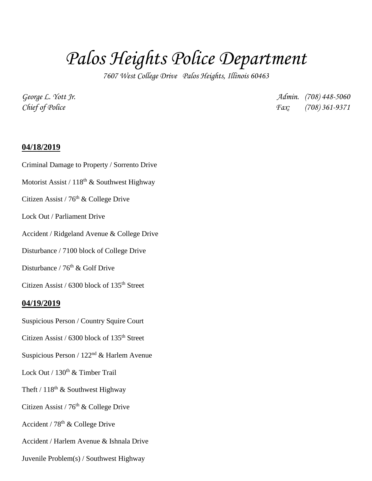# *Palos Heights Police Department*

*7607 West College Drive Palos Heights, Illinois 60463*

*George L. Yott Jr. Admin. (708) 448-5060 Chief of Police Fax: (708) 361-9371*

#### **04/18/2019**

- Criminal Damage to Property / Sorrento Drive
- Motorist Assist /  $118^{th}$  & Southwest Highway
- Citizen Assist /  $76<sup>th</sup>$  & College Drive
- Lock Out / Parliament Drive
- Accident / Ridgeland Avenue & College Drive
- Disturbance / 7100 block of College Drive
- Disturbance /  $76<sup>th</sup>$  & Golf Drive
- Citizen Assist / 6300 block of 135<sup>th</sup> Street

#### **04/19/2019**

- Suspicious Person / Country Squire Court
- Citizen Assist / 6300 block of 135<sup>th</sup> Street
- Suspicious Person / 122nd & Harlem Avenue
- Lock Out / 130<sup>th</sup> & Timber Trail
- Theft /  $118^{th}$  & Southwest Highway
- Citizen Assist / 76<sup>th</sup> & College Drive
- Accident /  $78<sup>th</sup>$  & College Drive
- Accident / Harlem Avenue & Ishnala Drive
- Juvenile Problem(s) / Southwest Highway